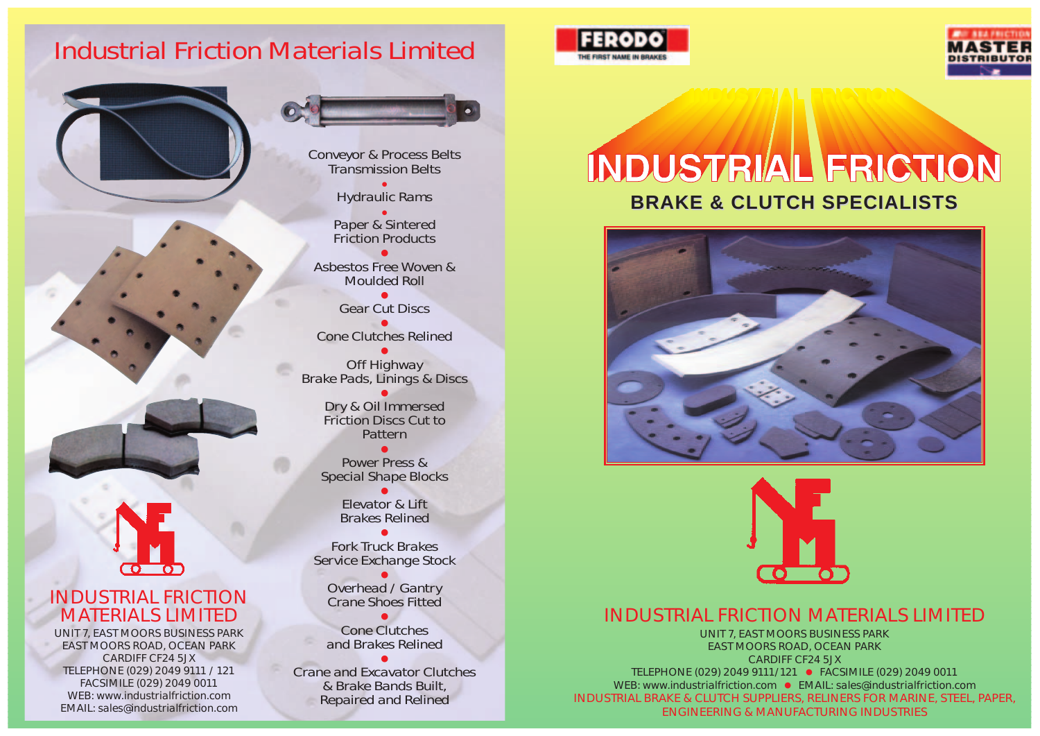### INDUSTRIAL FRICTION MATERIALS LIMITED

UNIT 7, EAST MOORS BUSINESS PARK EAST MOORS ROAD, OCEAN PARK CARDIFF CF24 5JX TELEPHONE (029) 2049 9111/121 ● FACSIMILE (029) 2049 0011 WEB: www.industrialfriction.com ● EMAIL: sales@industrialfriction.com INDUSTRIAL BRAKE & CLUTCH SUPPLIERS, RELINERS FOR MARINE, STEEL, PAPER, ENGINEERING & MANUFACTURING INDUSTRIES



Dry & Oil Immersed Friction Discs Cut to **Pattern** 

Conveyor & Process Belts Transmission Belts

Hydraulic Rams

Paper & Sintered Friction Products

Asbestos Free Woven & Moulded Roll

Gear Cut Discs

Cone Clutches Relined



Off Highway Brake Pads, Linings & Discs

# INDUSTRIAL FRICTION **BRAKE & CLUTCH SPECIALISTS BRAKE & CLUTCH SPECIALISTS**





Power Press & Special Shape Blocks

> Elevator & Lift Brakes Relined

Fork Truck Brakes Service Exchange Stock

> ● Overhead / Gantry Crane Shoes Fitted

> > ●

Cone Clutches and Brakes Relined

●



Crane and Excavator Clutches & Brake Bands Built, Repaired and Relined

#### INDUSTRIAL FRICTION MATERIALS LIMITED

ര ബ

UNIT 7, EAST MOORS BUSINESS PARK EAST MOORS ROAD, OCEAN PARK CARDIFF CF24 5JX TELEPHONE (029) 2049 9111 / 121 FACSIMILE (029) 2049 0011 WEB: www.industrialfriction.com EMAIL: sales@industrialfriction.com



### Industrial Friction Materials Limited